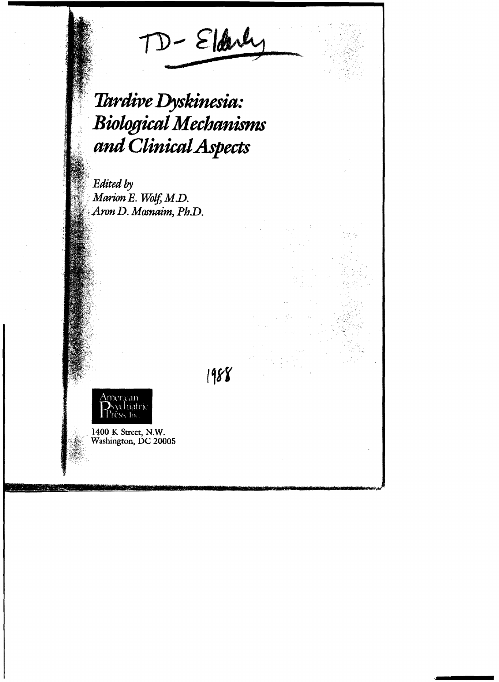TD-Eldry

# *.Tardive Dyskinesia,: .BiologicalMechanisms and CllnicalAspects*

*Edited-by Marion E. Wolf, M.D.*  $A$ ron D. Mosnaim, Ph.D.

1988



1400 K Street, N.W. Washington, DC 20005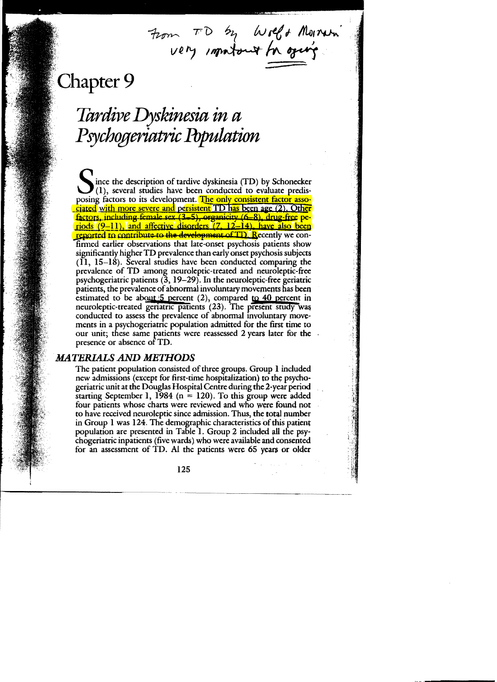From TD by Wolf + Morrison

## Chapter 9

## Tardive Dyskinesia in a Psychogeriatric Population

lince the description of tardive dyskinesia (TD) by Schonecker  $\mathbf{J}(1)$ , several studies have been conducted to evaluate predisposing factors to its development. The only consistent factor associated with more severe and persistent TD has been age (2). Other factors, including female sex (3-5), organicity (6-8), drug-free periods (9–11), and affective disorders (7, 12–14), have also been reported to contribute to the development of TD. Recently we confirmed earlier observations that late-onset psychosis patients show significantly higher TD prevalence than early onset psychosis subjects  $(I<sub>1</sub>, 15–18)$ . Several studies have been conducted comparing the prevalence of TD among neuroleptic-treated and neuroleptic-free psychogeriatric patients  $(3, 19-29)$ . In the neuroleptic-free geriatric patients, the prevalence of abnormal involuntary movements has been estimated to be about  $5$  percent (2), compared to 40 percent in neuroleptic-treated geriatric patients (23). The present study was conducted to assess the prevalence of abnormal involuntary movements in a psychogeriatric population admitted for the first time to our unit; these same patients were reassessed 2 years later for the presence or absence of TD.

## **MATERIALS AND METHODS**

The patient population consisted of three groups. Group 1 included new admissions (except for first-time hospitalization) to the psychogeriatric unit at the Douglas Hospital Centre during the 2-year period starting September 1, 1984 ( $n = 120$ ). To this group were added four patients whose charts were reviewed and who were found not to have received neuroleptic since admission. Thus, the total number in Group 1 was 124. The demographic characteristics of this patient population are presented in Table 1. Group 2 included all the psychogeriatric inpatients (five wards) who were available and consented for an assessment of TD. Al the patients were 65 years or older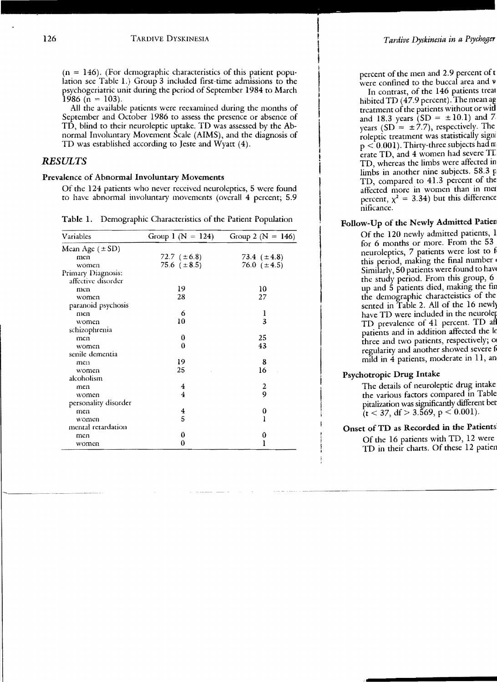$(n = 146)$ . (For demographic characteristics of this patient population see Table 1.) Group 3 included first-time admissions to the psychogeriatric unit during the period of September 1984 to March  $1986$  (n = 103).

I

\

All the available patients were reexamined during the months of September and October 1986 to assess the presence or absence of TD, blind to their neuroleptic uptake. TD was assessed by the Abnormal Involuntary Movement Scale (AIMS), and the diagnosis of TD was established according to Jeste and Wyatt (4).

### *RESULTS*

#### Prevalence of Abnormal Involuntary Movements

Of the 124 patients who never received neuroleptics, 5 were found to have abnormal involuntary movements (overall 4 percent; 5.9

| Variables            | Group 1 ( $N = 124$ )   | Group 2 ( $N = 146$ )   |
|----------------------|-------------------------|-------------------------|
| Mean Age $(\pm SD)$  |                         |                         |
| men                  | 72.7 $(\pm 6.8)$        | 73.4 $(\pm 4.8)$        |
| women                | 75.6 $(\pm 8.5)$        | 76.0 $(\pm 4.5)$        |
| Primary Diagnosis:   |                         |                         |
| affective disorder   |                         |                         |
| men                  | 19                      | 10                      |
| women                | 28                      | 27                      |
| paranoid psychosis   |                         |                         |
| men                  | 6                       | 1                       |
| women                | 10                      | 3                       |
| schizophrenia        |                         |                         |
| men                  | 0                       | 25                      |
| women                | 0                       | 43                      |
| senile dementia      |                         |                         |
| men                  | 19                      | 8                       |
| women                | 25                      | 16                      |
| alcoholism           |                         |                         |
| men                  | 4                       | $\overline{\mathbf{c}}$ |
| women                | $\overline{\mathbf{4}}$ | 9                       |
| personality disorder |                         |                         |
| men                  | 4                       | 0                       |
| women                | 5                       | ı                       |
| mental retardation   |                         |                         |
| men                  | 0                       | 0                       |
| women                | 0                       | ı                       |

Table 1. Demographic Characteristics of the Patient Population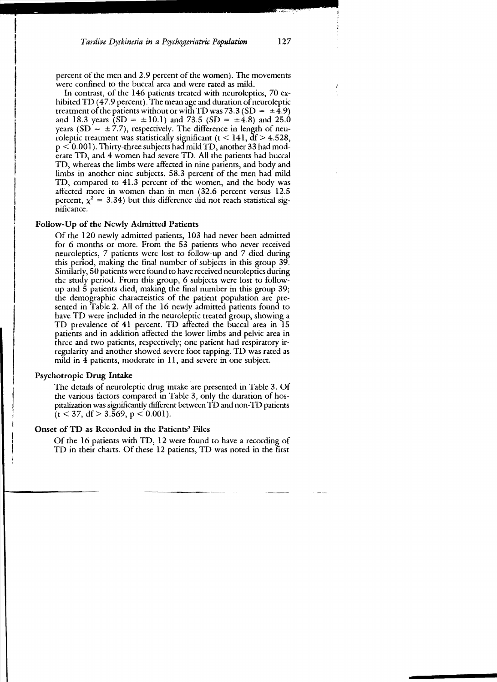percent of the men and 2.9 percent of the women). The movements were confined to the buccal area and were rated as mild.

In contrast, of the 146 patients treated with neuroleptics, 70 exhibited TD  $(47.9 \text{ percent})$ . The mean age and duration of neuroleptic treatment of the patients without or with TD was 73.3 (SD =  $\pm$ 4.9) and 18.3 years  $(SD = \pm 10.1)$  and 73.5  $(SD = \pm 4.8)$  and 25.0 years (SD =  $\pm$  7.7), respectively. The difference in length of neuroleptic treatment was statistically significant ( $t < 141$ ,  $df > 4.528$ ,  $p < 0.001$ ). Thirty-three subjects had mild TD, another 33 had moderate TD, and 4 women had severe TD. All the patients had buccal TD, whereas the limbs were affected in nine patients, and body and limbs in another nine subjects. 58.3 percent of the men had mild TD, compared to 41.3 percent of the women, and the body was affected more in women than in men (32.6 percent versus 12.5 percent,  $\chi^2 = 3.34$ ) but this difference did not reach statistical significance.

#### Follow-Up of the Newly Admitted Patients

Of the 120 newly admitted patients, 103 had never been admitted for 6 months or more. From the 53 patients who never received neuroleptics, 7 patients were lost to follow-up and 7 died during this period, making the final number of subjects in this group 39. Similarly, 50 patients were found to have received neuroleptics during the study period. From this group, 6 subjects were lost to followup and 5 patients died, making the final number in this group 39; the demographic characteistics of the patient popuJation are presented in Table 2. All of the 16 newly admitted patients found to have TD were included in the neuroleptic treated group, showing a TD prevalence of 41 percent. TD affected the buccal area in 15 patients and in addition affected the lower limbs and pelvic area in three and two patients, respectively; one patient had respiratory irregularity and another showed severe foot tapping. TD was rated as mild in 4 patients, moderate in 11, and severe in one subject.

#### Psychotropic Drug Intake

The details of neuroleptic drug intake are presented in Table 3. Of the various factors compared in Table 3, only the duration of hospitalization was significantly different between TD and non-TD patients  $(t < 37, df > 3.569, p < 0.001)$ .

#### Onset of TD as Recorded in the Patients' Files

Of the 16 patients with TD, 12 were found to have a recording of TD in their charts. Of these 12 patients, TD was noted in the first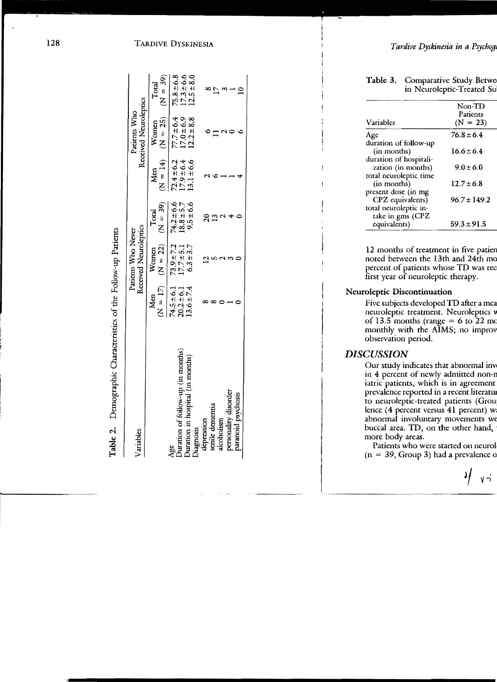| $1.111 \times 1.1$<br>d<br>خ<br>77 – م<br>-<br>F                                                            |
|-------------------------------------------------------------------------------------------------------------|
| s or the F                                                                                                  |
| さいき ハーバー<br>֧֧֧֧֧֧֧֧֧֧֧֧֚֚֚֚֚֚֚֚֚֚֚֚֚֚֚֚֚֚֚֟֝֝֓֝֓֝֬֝֓֝֬֝֓֝֬֝֓֝֬֝֬֝<br>֧֪֪֪֪֪֪֪֪֪֪֪֪֧֧֧֧֚֚֚֚֚֚֚֚֚֚֚֚֚֝֝֝֝֝֬֘ |
| l<br>$\vdots$<br>morrantic                                                                                  |
| i                                                                                                           |

| Variables                                |                                | Received Neuroleptics<br>Patients Who Never |                           |                             | Received Neuroleptics<br>Patients Who |                                 |
|------------------------------------------|--------------------------------|---------------------------------------------|---------------------------|-----------------------------|---------------------------------------|---------------------------------|
|                                          | Men                            | $(N = 2)$ $(N = 2)$ $(N = 3)$<br>Women      | Total                     | $N = 14$<br>M <sub>cn</sub> | $(N = 25)$<br>Women                   | $(N = 39)$<br>Total             |
| Duration of follow-up (in months)<br>Age | $74.5 \pm 6.1$                 | $73.9 + 7.2$                                | $74.2 \pm 6.6$            | $72.4 \pm 6.2$              | $77.7 \pm 6.4$                        | $75.8 \pm 6.8$                  |
| in months)<br>Duration in hospital (i    | $13.6 \pm 7.4$<br>$20.2 + 6.1$ | $6.3 + 3.7$<br>$7.7 + 5.1$                  | $18.8 \pm 5.7$<br>9.5±6.6 | $17.9 \pm 6.4$<br>13.1±6.6  | $2.2 + 8.8$<br>$17.0 \pm 6.9$         | $7.3 \pm 6.6$<br>$12.5 \pm 8.0$ |
| Diagnosis                                |                                |                                             |                           |                             |                                       |                                 |
| epression                                |                                |                                             |                           |                             |                                       |                                 |
| senile dementia                          |                                |                                             |                           |                             |                                       |                                 |
| alcoholism                               |                                |                                             |                           |                             |                                       |                                 |
| personality disorder                     |                                |                                             |                           |                             |                                       |                                 |
| aranoid psychosis                        |                                |                                             |                           |                             |                                       | ¢                               |
|                                          |                                |                                             |                           |                             |                                       |                                 |

 $\star$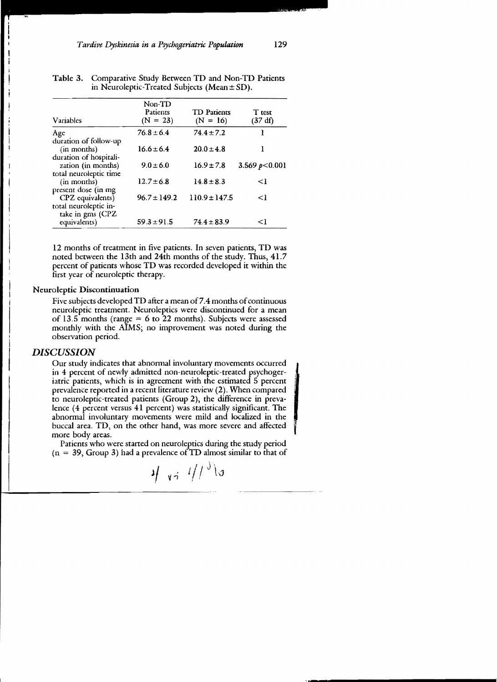| Variables                                 | Non-TD<br>Patients<br>$(N = 23)$ | <b>TD</b> Patients<br>$(N = 16)$ | T test<br>$(37 \text{ df})$ |
|-------------------------------------------|----------------------------------|----------------------------------|-----------------------------|
| Age<br>duration of follow-up              | $76.8 \pm 6.4$                   | $74.4 \pm 7.2$                   | 1                           |
| (in months)<br>duration of hospitali-     | $16.6 \pm 6.4$                   | $20.0 \pm 4.8$                   |                             |
| zation (in months)                        | $9.0 \pm 6.0$                    | $16.9 \pm 7.8$                   | 3.569 $p<0.001$             |
| total neuroleptic time<br>(in months)     | $12.7 \pm 6.8$                   | $14.8 \pm 8.3$                   | <1                          |
| present dose (in mg<br>CPZ equivalents)   | $96.7 \pm 149.2$                 | $110.9 \pm 147.5$                | $\leq$                      |
| total neuroleptic in-<br>take in gms (CPZ |                                  |                                  |                             |
| equivalents)                              | $59.3 \pm 91.5$                  | $74.4 \pm 83.9$                  | $\leq$ 1                    |

| Table 3. Comparative Study Between TD and Non-TD Patients |
|-----------------------------------------------------------|
| in Neuroleptic-Treated Subjects (Mean $\pm$ SD).          |

12 months of treatment in five patients. In seven patients, TD was noted between the 13th and 24th months of the study. Thus, 41.7 percent of patients whose TD was recorded developed it within the first year of neuroleptic therapy.

#### Neuroleptic Discontinuation

Five subjects developed TD after a mean of 7.4 months of continuous neuroleptic treatment. Neuroleptics were discontinued for a mean of 13.5 months (range  $= 6$  to 22 months). Subjects were assessed monthly with the AIMS; no improvement was noted during the observation period.

### *DISCUSSION*

Our study indicates that abnormal involuntary movements occurred in 4 percent of newly admitted non-neuroleptic-treated psychogeriatric patients, which is in agreement with the estimated 5 percent prevalence reported in a recent literature review (2). When compared to neuroleptic-treated patients (Group 2), the difference in prevalence (4 percent versus 41 percent) was statistically significant. The abnormal involuntary movements were mild and localized in the buccal area. TD, on the other hand, was more severe and affected more body areas.

Patients who were started on neuroleptics during the study period  $(n = 39, Group 3)$  had a prevalence of TD almost similar to that of

$$
\psi_{\mathbf{v}^{\sharp}} \neq \psi_{\mathbf{v}^{\sharp}} \neq \psi_{\mathbf{v}^{\sharp}} \in \mathcal{C}
$$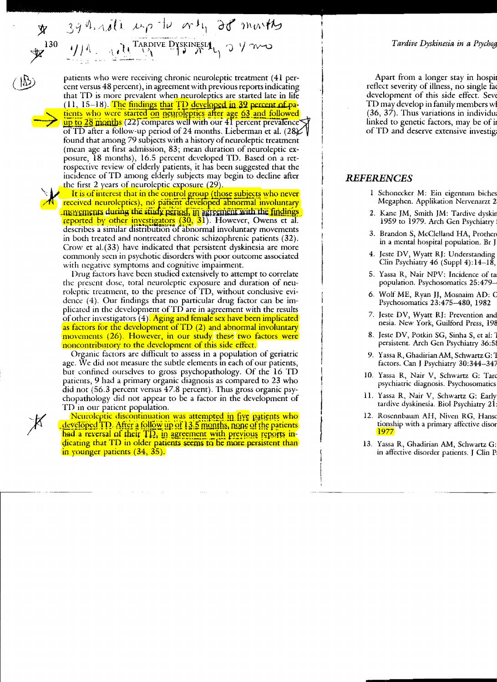39 horate up the orth 20 months 1/1 RADIVE DYSKINESIA 130

patients who were receiving chronic neuroleptic treatment (41 percent versus 48 percent), in agreement with previous reports indicating that TD is more prevalent when neuroleptics are started late in life  $(11, 15-18)$ . The findings that TD developed in 39 percent of patients who were started on neuroleptics after age 63 and followed up to 28 months (22) compares well with our 41 percent prevalence of TD after a follow-up period of 24 months. Lieberman et al. (28 K found that among 79 subjects with a history of neuroleptic treatment (mean age at first admission, 83; mean duration of neuroleptic exposure, 18 months), 16.5 percent developed TD. Based on a retrospective review of elderly patients, it has been suggested that the incidence of TD among elderly subjects may begin to decline after the first 2 years of neuroleptic exposure  $(29)$ .

It is of interest that in the control group (those subjects who never received neuroleptics), no patient developed abnormal involuntary movements during the study period, in agreement with the findings reported by other investigators (30, 31). However, Owens et al. describes a similar distribution of abnormal involuntary movements in both treated and nontreated chronic schizophrenic patients (32). Crow et al. (33) have indicated that persistent dyskinesia are more commonly seen in psychotic disorders with poor outcome associated with negative symptoms and cognitive impairment.

Drug factors have been studied extensively to attempt to correlate the present dose, total neuroleptic exposure and duration of neuroleptic treatment, to the presence of TD, without conclusive evidence  $(4)$ . Our findings that no particular drug factor can be implicated in the development of TD are in agreement with the results of other investigators (4). Aging and female sex have been implicated as factors for the development of TD (2) and abnormal involuntary movements (26). However, in our study these two factors were noncontributory to the development of this side effect.

Organic factors are difficult to assess in a population of geriatric age. We did not measure the subtle elements in each of our patients, but confined ourselves to gross psychopathology. Of the 16 TD patients, 9 had a primary organic diagnosis as compared to 23 who did not (56.3 percent versus 47.8 percent). Thus gross organic psychopathology did not appear to be a factor in the development of TD in our patient population.

Neuroleptic discontinuation was attempted in five patients who developed TD. After a follow up of 13.5 months, none of the patients had a reversal of their TD, in agreement with previous reports indicating that TD in older patients seems to be more persistent than in younger patients (34, 35).

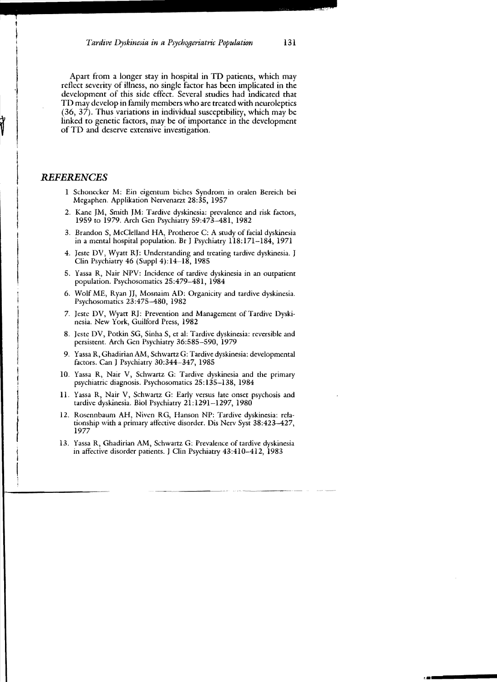Apart from a longer stay in hospital in TO patients, which may reflect severity of illness, no single factor has been implicated in the development of this side effect. Several studies had indicated that TD may develop in family members who are treated with neuroleptics (36, 37). Thus variations in individual susceptibility, which may be linked to genetic factors, may be of importance in the development of TD and deserve extensive investigation.

#### *REFERENCES*

- 1 Schonecker M: Ein eigentum biches Syndrom in oralen Bereich bei Megaphen. Applikation Nervenarzt 28:35, 1957
- 2. Kane JM, Smith JM: Tardive dyskinesia: prevalence and risk factors, 1959 to 1979. Arch Gen Psychiatry 59:473-481, 1982
- 3. Brandon S, McClelland HA, Protheroe C: A study of facial dyskinesia in a mental hospital population. Br J Psychiatry 118:171-184, 1971
- 4. Jeste DV, Wyatt RJ: Understanding and treating tardive dyskinesia. J Clin Psychiatry 46 (SuppI4):14-18, 1985
- 5. Yassa R, Nair NPV: Incidence of tardive dyskinesia in an outpatient population. Psychosomatics 25:479-481, 1984
- 6. Wolf ME, Ryan JJ, Mosnaim AD: Organicity and tardive dyskinesia. Psychosomatics 23:475-480, 1982
- 7. Jeste DV, Wyatt RJ: Prevention and Management of Tardive Dyskinesia. New York, Guilford Press, 1982
- 8. Jeste DV, Potkin SG, Sinha S, et al: Tardive dyskinesia: reversible and persistent. Arch Gen Psychiatry 36:585-590, 1979
- 9. Yassa R, Ghadirian AM, Schwartz G: Tardive dyskinesia: developmental factors. Can J Psychiatry 30:344-347, 1985
- 10. Yassa R, Nair V, Schwartz G: Tardive dyskinesia and the primary psychiatric diagnosis. Psychosomatics 25: 135-138, 1984
- II. Yassa R, Nair V, Schwartz G: Early versus late onset psychosis and tardive dyskinesia. Bioi Psychiatry 21:1291-1297,1980
- 12. Rosennbaum AH, Niven RG, Hanson NP: Tardive dyskinesia: relationship with a primary affective disorder. Dis Nerv Syst 38:423-427, 1977
- 13. Yassa R, Ghadirian AM, Schwartz G: Prevalence of tardive dyskinesia in affective disorder patients. J Clin Psychiatry 43:410-412, 1983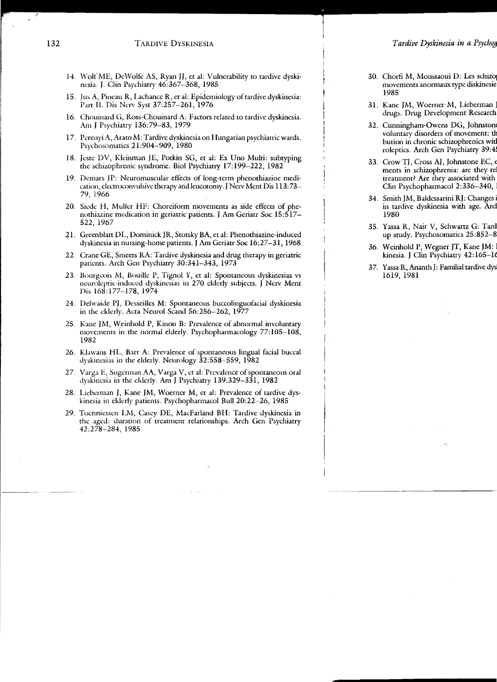- 14. Wolf ME, DeWolfe AS, Ryan JJ, et al: Vulnerability to tardive dyskinesia. J. Clin Psychiatry 46:367-368, 1985
- 15. Ius A, Pineau R, Lachance R, et al: Epidemiology of tardive dyskinesia: Part II. Dis Nerv Syst 37:257-261, 1976
- 16. Chouinard G, Ross-Chouinard A: Factors related to tardive dyskinesia. Am J Psychiatry 136:79-83, 1979
- 17. Perenyi A, Arato M: Tardive dyskinesia on Hungarian psychiatric wards. Psychosomatics 21:904-909, 1980
- 18. Jeste DV, Kleinman JE, Potkin SG, et al: Ex Uno Multi: subtyping the schizophrenic syndrome. Bioi Psychiatry 17: 199-222, 1982
- 19. Demars JP: Neuromuscular efiecrs of long-term phenothiazine medi cation, electroconvulsive therapy and leucotomy. J Nerv Ment Dis 113:73-79, 1966
- 20. Siede H, Muller HF: Choreiform movements as side effects of phenothiazine medication in geriatric patients. JAm Geriatr Soc 15:517 522, 1967
- 21. Greenblatt DL, Dominick JR, Stotsky BA, et aJ: Phenothiazine-induced dyskinesia in nursing-home patients. J Am Geriatr Soc 16:27-31, 1968
- 22. Crane GE, Smeets RA: Tardive dyskinesia and drug therapy in geriatric patients. Arch Gen Psychiatry 30:341-343, 1973
- 23. Bourgeois M, Bouille P, Tignol Y, et al: Spontaneous dyskinesias vs neuroleptic-induced dyskinesias in 270 elderly subjects. J Nerv Ment Dis 168:177-178, 1974
- 24. Delwaide PJ, Desseilles M: Spontaneous buccolinguofacial dyskinesia in the elderly. Acta Neurol Scand 56:256-262, 1977
- 25. Kane JM, Weinhold P, Kinon B: Prevalence of abnormal involuntary movements in the normal elderly. Psychopharmacology 77:105-108, 1982
- 26. Klawans HL, Barr A: Prevalence of spontaneous lingual facial buccal dyskinesias in the elderly. Neurology 32:558-559, 1982
- 27. Varga E, Sugerman AA, Varga V, et al: Prevalence of spontaneous oral dyskinesia in the elder/y. Am J Psychiatry 139:329-331, 1982
- 28. Lieberman J, Kane JM, Woerner M, et al: Prevalence of tardive dyskinesia in elderly patients. Psychopharmacol BuH 20:22-26, 1985
- 29. Toennicssen LM, Casey DE, MacFarland BH: Tardive dyskinesia in the aged: duration of treatment relationships. Arch Gen Psychiatry 42:278-284, 1985